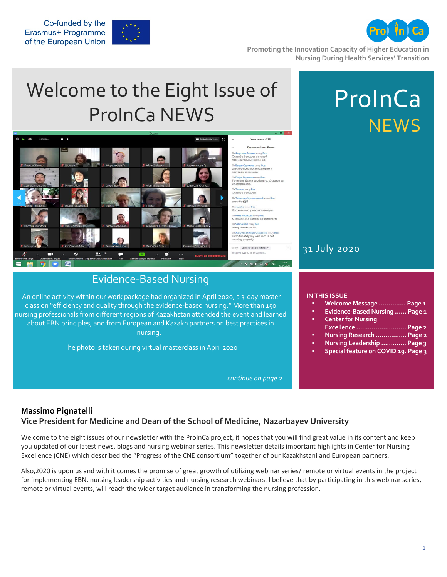ProInCa



**Promoting the Innovation Capacity of Higher Education in Nursing During Health Services' Transition**

# Welcome to the Eight Issue of ProInCa NEWS



### Evidence-Based Nursing

An online activity within our work package had organized in April 2020, a 3-day m class on "efficiency and quality through the evidence-based nursing." More than nursing professionals from different regions of Kazakhstan attended the event and about EBN principles, and from European and Kazakh partners on best practice nursing.

The photo is taken during virtual masterclass in April 2020

*continue on page 2…*

|                                        | 31 July 2020                                                                                                                                                                                                                                                               |
|----------------------------------------|----------------------------------------------------------------------------------------------------------------------------------------------------------------------------------------------------------------------------------------------------------------------------|
| <b>aster</b><br>150<br>learned<br>s in | <b>IN THIS ISSUE</b><br>Welcome Message  Page 1<br>٠<br><b>Evidence-Based Nursing  Page 1</b><br>Ξ<br><b>Center for Nursing</b><br>п<br>Excellence  Page 2<br>Nursing Research  Page 2<br>Ξ<br>Nursing Leadership  Page 3<br>٠<br>Special feature on COVID 19. Page 3<br>п |

#### **Massimo Pignatelli Vice President for Medicine and Dean of the School of Medicine, Nazarbayev University**

Welcome to the eight issues of our newsletter with the ProInCa project, it hopes that you will find great value in its content and keep you updated of our latest news, blogs and nursing webinar series. This newsletter details important highlights in Center for Nursing Excellence (CNE) which described the "Progress of the CNE consortium" together of our Kazakhstani and European partners.

Also,2020 is upon us and with it comes the promise of great growth of utilizing webinar series/ remote or virtual events in the project for implementing EBN, nursing leadership activities and nursing research webinars. I believe that by participating in this webinar series, remote or virtual events, will reach the wider target audience in transforming the nursing profession.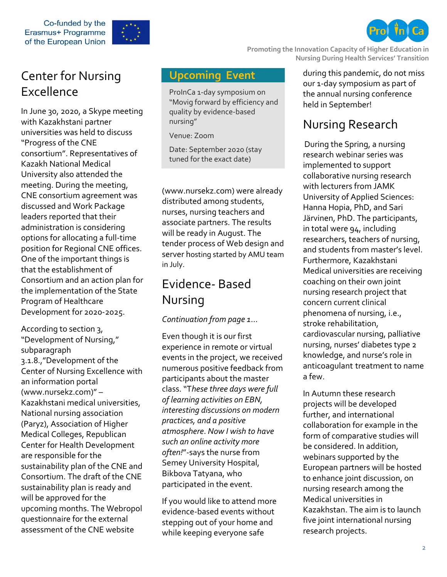Co-funded by the Erasmus+ Programme of the European Union



**Promoting the Innovation Capacity of Higher Education in** 

# Center for Nursing Excellence

In June 30, 2020, a Skype meeting with Kazakhstani partner universities was held to discuss "Progress of the CNE consortium". Representatives of Kazakh National Medical University also attended the meeting. During the meeting, CNE consortium agreement was discussed and Work Package leaders reported that their administration is considering options for allocating a full-time position for Regional CNE offices. One of the important things is that the establishment of Consortium and an action plan for the implementation of the State Program of Healthcare Development for 2020-2025.

According to section 3, "Development of Nursing," subparagraph 3.1.8.,"Development of the Center of Nursing Excellence with an information portal (www.nursekz.com)" – Kazakhstani medical universities, National nursing association (Paryz), Association of Higher Medical Colleges, Republican Center for Health Development are responsible for the sustainability plan of the CNE and Consortium. The draft of the CNE sustainability plan is ready and will be approved for the upcoming months. The Webropol questionnaire for the external assessment of the CNE website

### **Upcoming Event**

ProInCa 1-day symposium on "Movig forward by efficiency and quality by evidence-based nursing"

Venue: Zoom

Date: September 2020 (stay tuned for the exact date)

(www.nursekz.com) were already distributed among students, nurses, nursing teachers and associate partners. The results will be ready in August. The tender process of Web design and server hosting started by AMU team in July.

# Evidence- Based Nursing

### *Continuation from page 1*…

Even though it is our first experience in remote or virtual events in the project, we received numerous positive feedback from participants about the master class. "T*hese three days were full of learning activities on EBN, interesting discussions on modern practices, and a positive atmosphere*. *Now I wish to have such an online activity more often!*"-says the nurse from Semey University Hospital, Bikbova Tatyana, who participated in the event.

If you would like to attend more evidence-based events without stepping out of your home and while keeping everyone safe

during this pandemic, do not miss our 1-day symposium as part of the annual nursing conference held in September!

**Nursing During Health Services' Transition**

# Nursing Research

During the Spring, a nursing research webinar series was implemented to support collaborative nursing research with lecturers from JAMK University of Applied Sciences: Hanna Hopia, PhD, and Sari Järvinen, PhD. The participants, in total were 94, including researchers, teachers of nursing, and students from master's level. Furthermore, Kazakhstani Medical universities are receiving coaching on their own joint nursing research project that concern current clinical phenomena of nursing, i.e., stroke rehabilitation, cardiovascular nursing, palliative nursing, nurses' diabetes type 2 knowledge, and nurse's role in anticoagulant treatment to name a few.

In Autumn these research projects will be developed further, and international collaboration for example in the form of comparative studies will be considered. In addition, webinars supported by the European partners will be hosted to enhance joint discussion, on nursing research among the Medical universities in Kazakhstan. The aim is to launch five joint international nursing research projects.